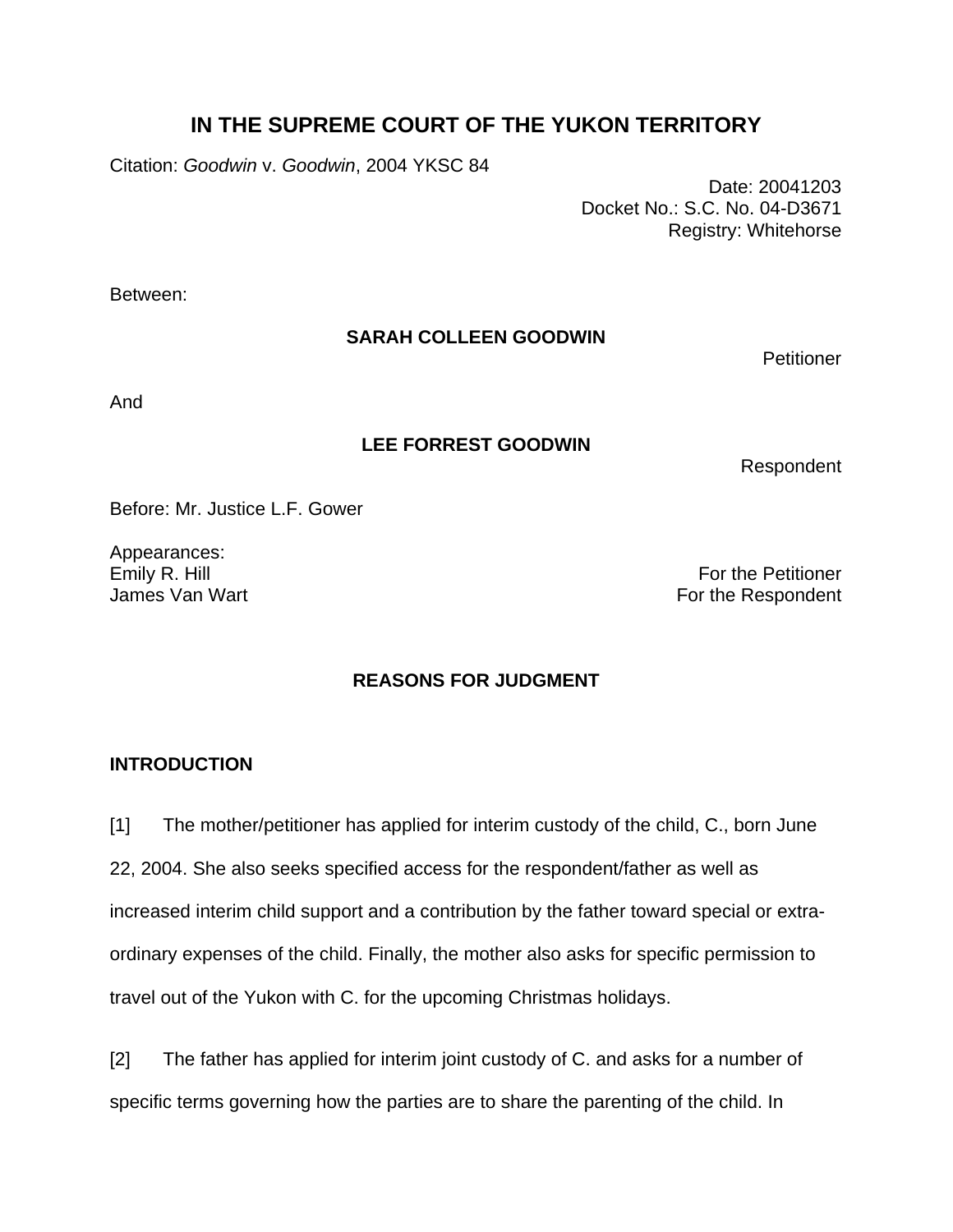# **IN THE SUPREME COURT OF THE YUKON TERRITORY**

Citation: *Goodwin* v. *Goodwin*, 2004 YKSC 84

 Date: 20041203 Docket No.: S.C. No. 04-D3671 Registry: Whitehorse

Between:

# **SARAH COLLEEN GOODWIN**

**Petitioner** 

And

## **LEE FORREST GOODWIN**

Respondent

Before: Mr. Justice L.F. Gower

Appearances:

Emily R. Hill For the Petitioner James Van Wart **For the Respondent** 

# **REASONS FOR JUDGMENT**

# **INTRODUCTION**

[1] The mother/petitioner has applied for interim custody of the child, C., born June 22, 2004. She also seeks specified access for the respondent/father as well as increased interim child support and a contribution by the father toward special or extraordinary expenses of the child. Finally, the mother also asks for specific permission to travel out of the Yukon with C. for the upcoming Christmas holidays.

[2] The father has applied for interim joint custody of C. and asks for a number of specific terms governing how the parties are to share the parenting of the child. In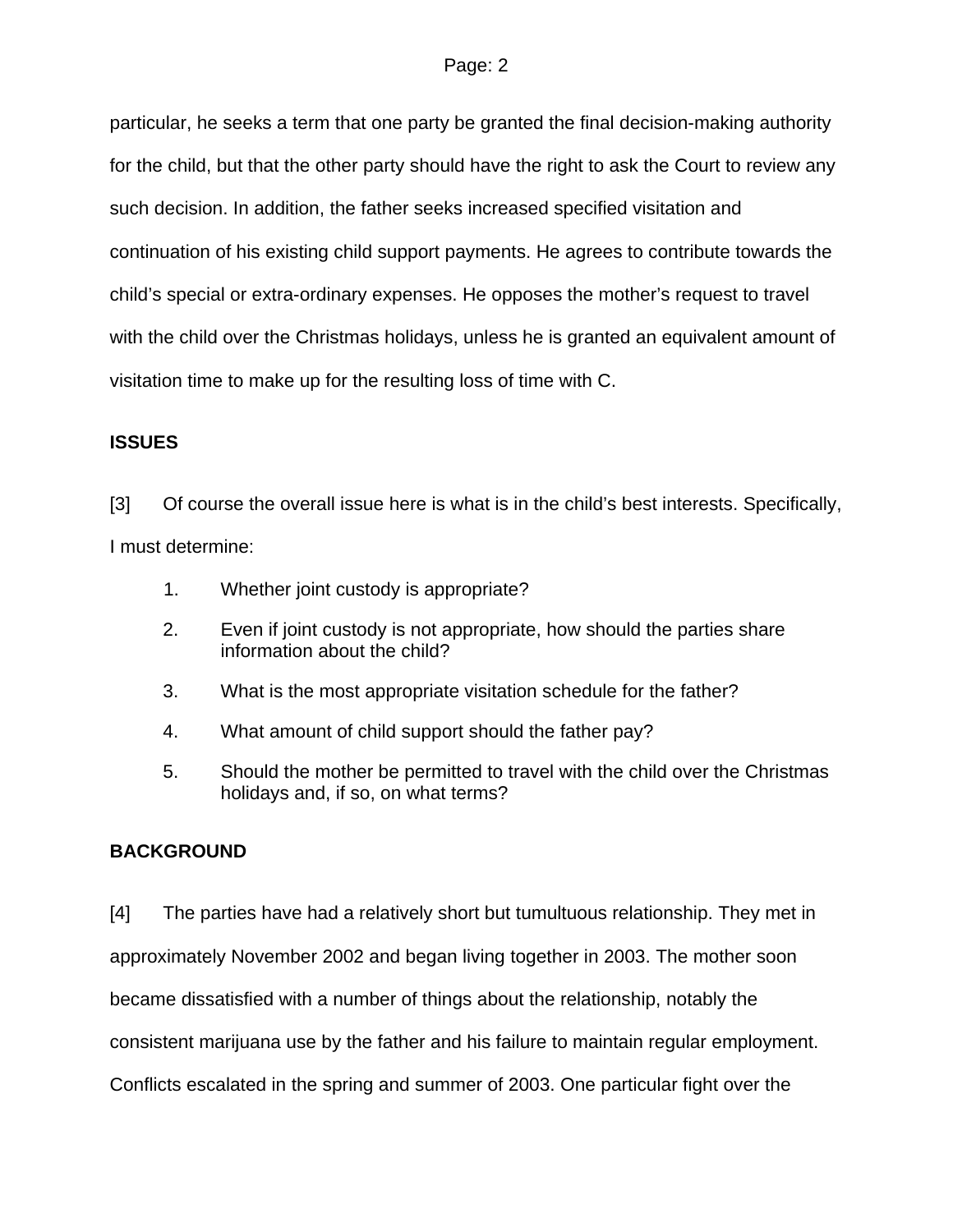particular, he seeks a term that one party be granted the final decision-making authority for the child, but that the other party should have the right to ask the Court to review any such decision. In addition, the father seeks increased specified visitation and continuation of his existing child support payments. He agrees to contribute towards the child's special or extra-ordinary expenses. He opposes the mother's request to travel with the child over the Christmas holidays, unless he is granted an equivalent amount of visitation time to make up for the resulting loss of time with C.

## **ISSUES**

[3] Of course the overall issue here is what is in the child's best interests. Specifically, I must determine:

- 1. Whether joint custody is appropriate?
- 2. Even if joint custody is not appropriate, how should the parties share information about the child?
- 3. What is the most appropriate visitation schedule for the father?
- 4. What amount of child support should the father pay?
- 5. Should the mother be permitted to travel with the child over the Christmas holidays and, if so, on what terms?

# **BACKGROUND**

[4] The parties have had a relatively short but tumultuous relationship. They met in approximately November 2002 and began living together in 2003. The mother soon became dissatisfied with a number of things about the relationship, notably the consistent marijuana use by the father and his failure to maintain regular employment. Conflicts escalated in the spring and summer of 2003. One particular fight over the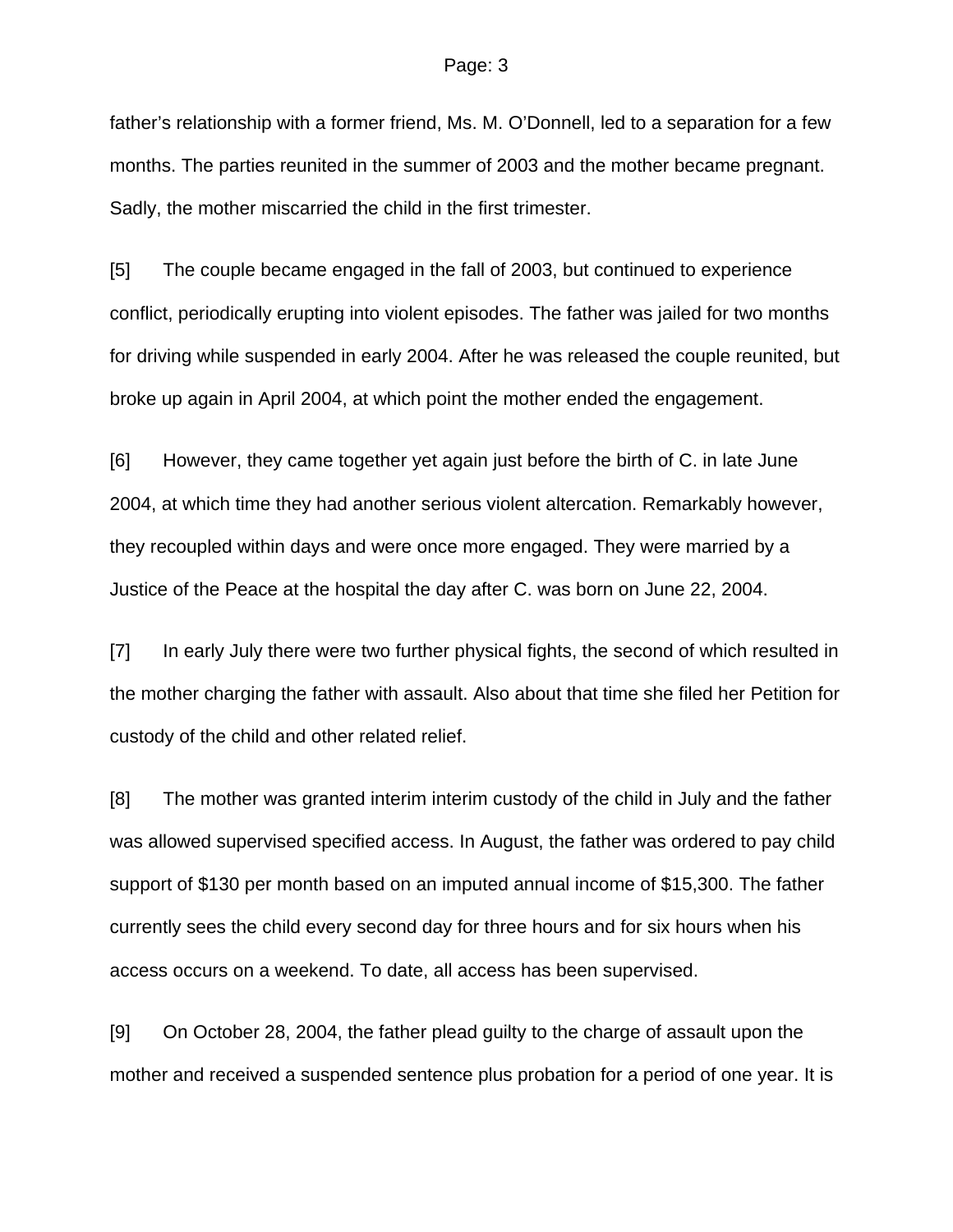father's relationship with a former friend, Ms. M. O'Donnell, led to a separation for a few months. The parties reunited in the summer of 2003 and the mother became pregnant. Sadly, the mother miscarried the child in the first trimester.

[5] The couple became engaged in the fall of 2003, but continued to experience conflict, periodically erupting into violent episodes. The father was jailed for two months for driving while suspended in early 2004. After he was released the couple reunited, but broke up again in April 2004, at which point the mother ended the engagement.

[6] However, they came together yet again just before the birth of C. in late June 2004, at which time they had another serious violent altercation. Remarkably however, they recoupled within days and were once more engaged. They were married by a Justice of the Peace at the hospital the day after C. was born on June 22, 2004.

[7] In early July there were two further physical fights, the second of which resulted in the mother charging the father with assault. Also about that time she filed her Petition for custody of the child and other related relief.

[8] The mother was granted interim interim custody of the child in July and the father was allowed supervised specified access. In August, the father was ordered to pay child support of \$130 per month based on an imputed annual income of \$15,300. The father currently sees the child every second day for three hours and for six hours when his access occurs on a weekend. To date, all access has been supervised.

[9] On October 28, 2004, the father plead guilty to the charge of assault upon the mother and received a suspended sentence plus probation for a period of one year. It is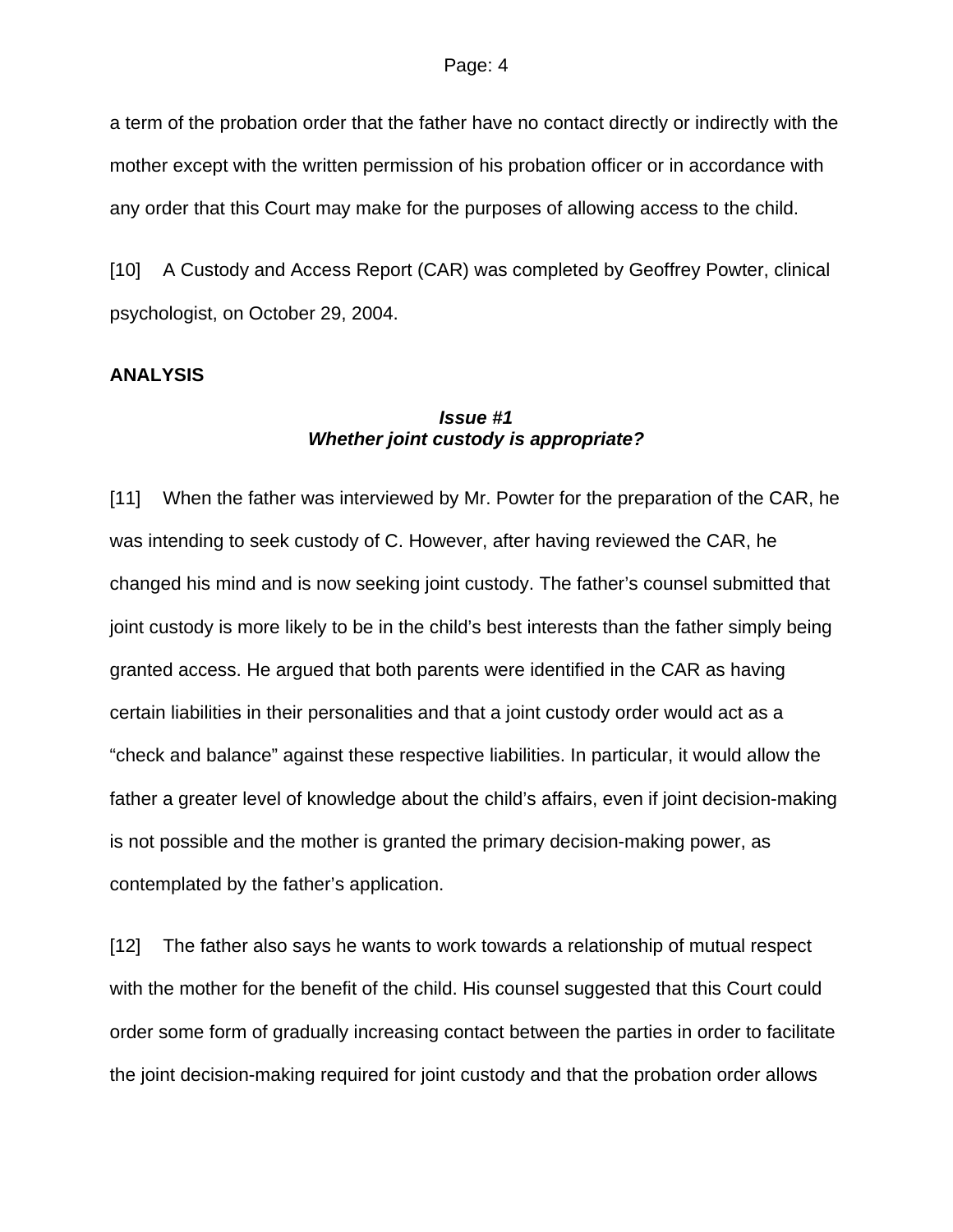a term of the probation order that the father have no contact directly or indirectly with the mother except with the written permission of his probation officer or in accordance with any order that this Court may make for the purposes of allowing access to the child.

[10] A Custody and Access Report (CAR) was completed by Geoffrey Powter, clinical psychologist, on October 29, 2004.

### **ANALYSIS**

## *Issue #1 Whether joint custody is appropriate?*

[11] When the father was interviewed by Mr. Powter for the preparation of the CAR, he was intending to seek custody of C. However, after having reviewed the CAR, he changed his mind and is now seeking joint custody. The father's counsel submitted that joint custody is more likely to be in the child's best interests than the father simply being granted access. He argued that both parents were identified in the CAR as having certain liabilities in their personalities and that a joint custody order would act as a "check and balance" against these respective liabilities. In particular, it would allow the father a greater level of knowledge about the child's affairs, even if joint decision-making is not possible and the mother is granted the primary decision-making power, as contemplated by the father's application.

[12] The father also says he wants to work towards a relationship of mutual respect with the mother for the benefit of the child. His counsel suggested that this Court could order some form of gradually increasing contact between the parties in order to facilitate the joint decision-making required for joint custody and that the probation order allows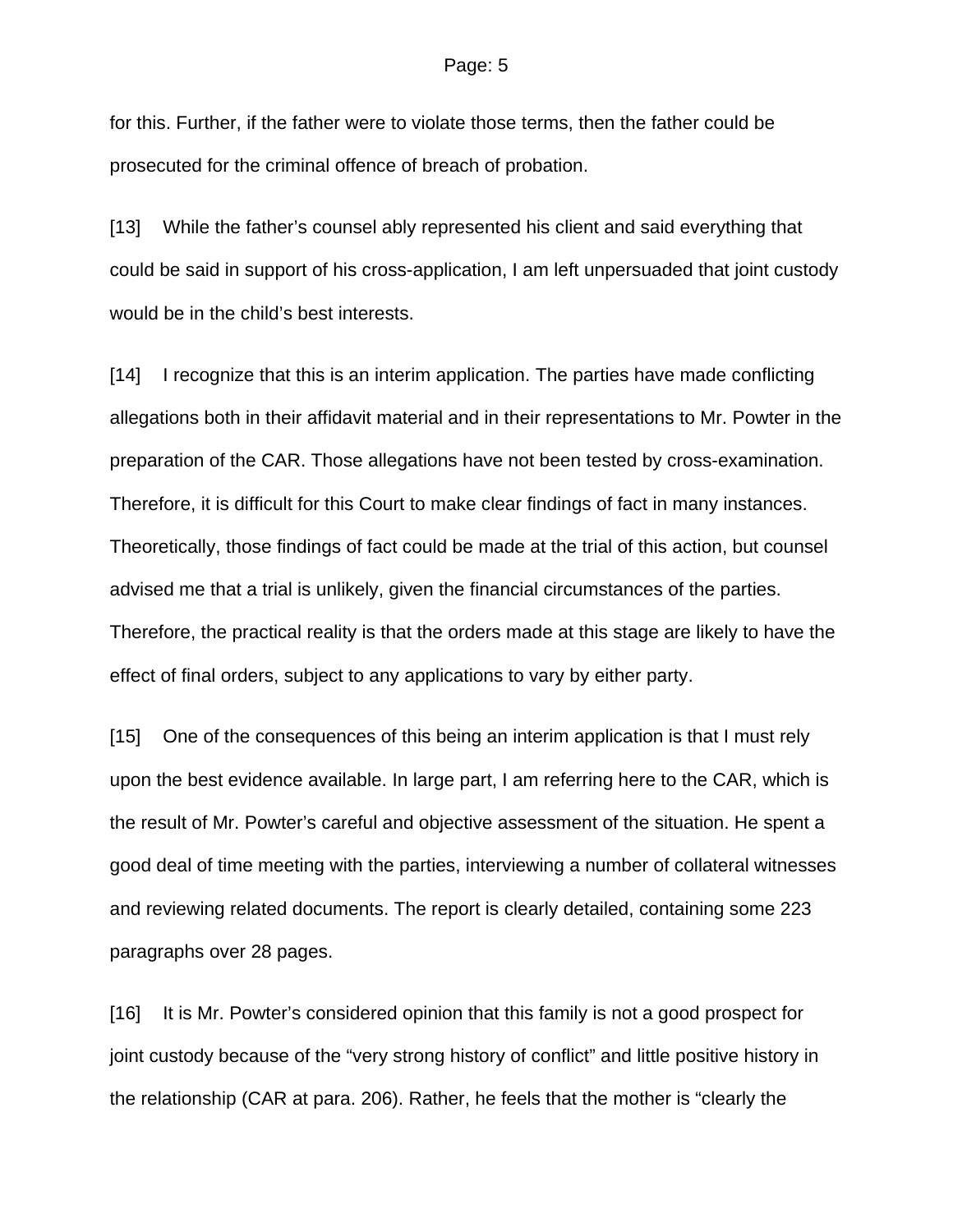for this. Further, if the father were to violate those terms, then the father could be prosecuted for the criminal offence of breach of probation.

[13] While the father's counsel ably represented his client and said everything that could be said in support of his cross-application, I am left unpersuaded that joint custody would be in the child's best interests.

[14] I recognize that this is an interim application. The parties have made conflicting allegations both in their affidavit material and in their representations to Mr. Powter in the preparation of the CAR. Those allegations have not been tested by cross-examination. Therefore, it is difficult for this Court to make clear findings of fact in many instances. Theoretically, those findings of fact could be made at the trial of this action, but counsel advised me that a trial is unlikely, given the financial circumstances of the parties. Therefore, the practical reality is that the orders made at this stage are likely to have the effect of final orders, subject to any applications to vary by either party.

[15] One of the consequences of this being an interim application is that I must rely upon the best evidence available. In large part, I am referring here to the CAR, which is the result of Mr. Powter's careful and objective assessment of the situation. He spent a good deal of time meeting with the parties, interviewing a number of collateral witnesses and reviewing related documents. The report is clearly detailed, containing some 223 paragraphs over 28 pages.

[16] It is Mr. Powter's considered opinion that this family is not a good prospect for joint custody because of the "very strong history of conflict" and little positive history in the relationship (CAR at para. 206). Rather, he feels that the mother is "clearly the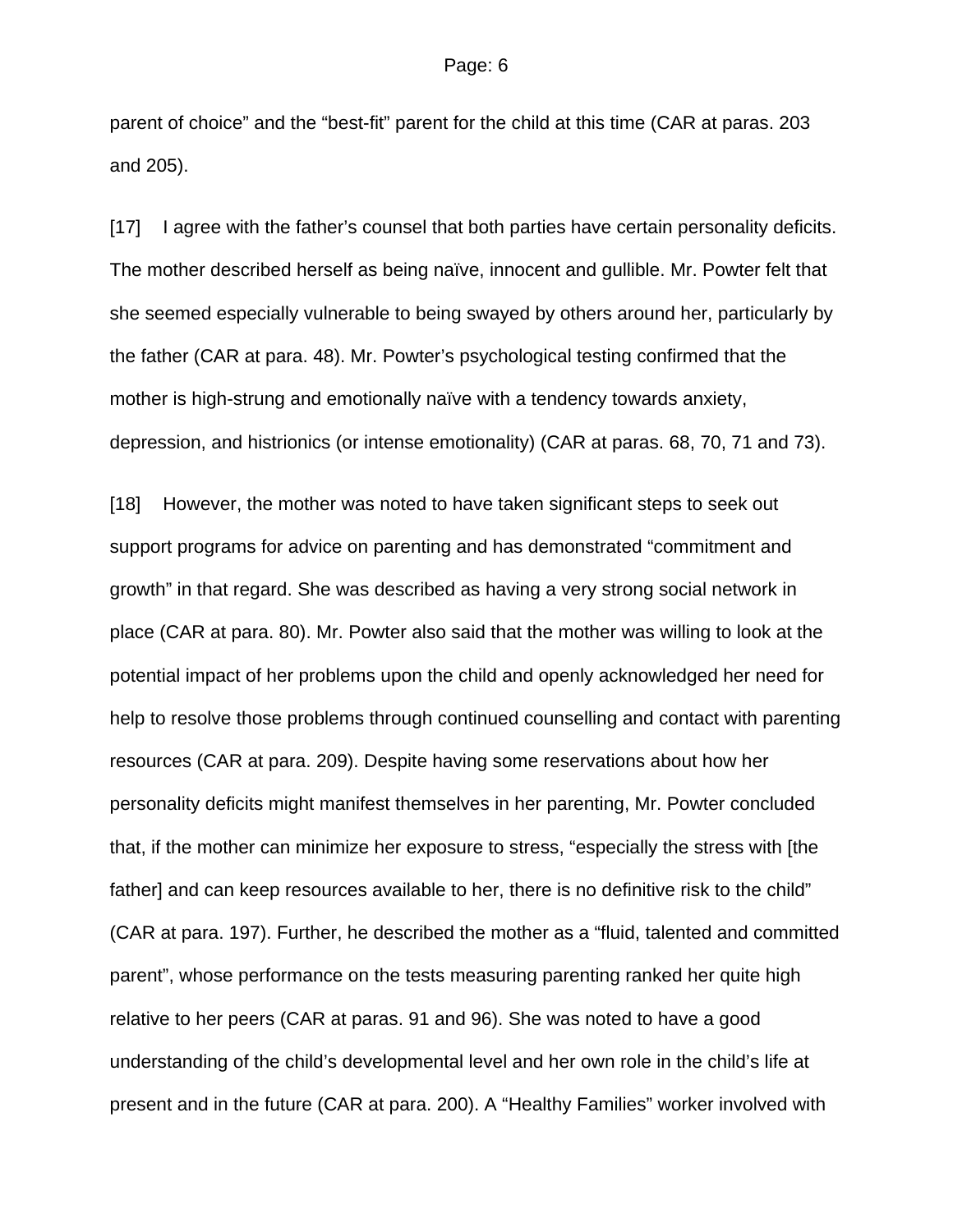parent of choice" and the "best-fit" parent for the child at this time (CAR at paras. 203 and 205).

[17] I agree with the father's counsel that both parties have certain personality deficits. The mother described herself as being naïve, innocent and gullible. Mr. Powter felt that she seemed especially vulnerable to being swayed by others around her, particularly by the father (CAR at para. 48). Mr. Powter's psychological testing confirmed that the mother is high-strung and emotionally naïve with a tendency towards anxiety, depression, and histrionics (or intense emotionality) (CAR at paras. 68, 70, 71 and 73).

[18] However, the mother was noted to have taken significant steps to seek out support programs for advice on parenting and has demonstrated "commitment and growth" in that regard. She was described as having a very strong social network in place (CAR at para. 80). Mr. Powter also said that the mother was willing to look at the potential impact of her problems upon the child and openly acknowledged her need for help to resolve those problems through continued counselling and contact with parenting resources (CAR at para. 209). Despite having some reservations about how her personality deficits might manifest themselves in her parenting, Mr. Powter concluded that, if the mother can minimize her exposure to stress, "especially the stress with [the father] and can keep resources available to her, there is no definitive risk to the child" (CAR at para. 197). Further, he described the mother as a "fluid, talented and committed parent", whose performance on the tests measuring parenting ranked her quite high relative to her peers (CAR at paras. 91 and 96). She was noted to have a good understanding of the child's developmental level and her own role in the child's life at present and in the future (CAR at para. 200). A "Healthy Families" worker involved with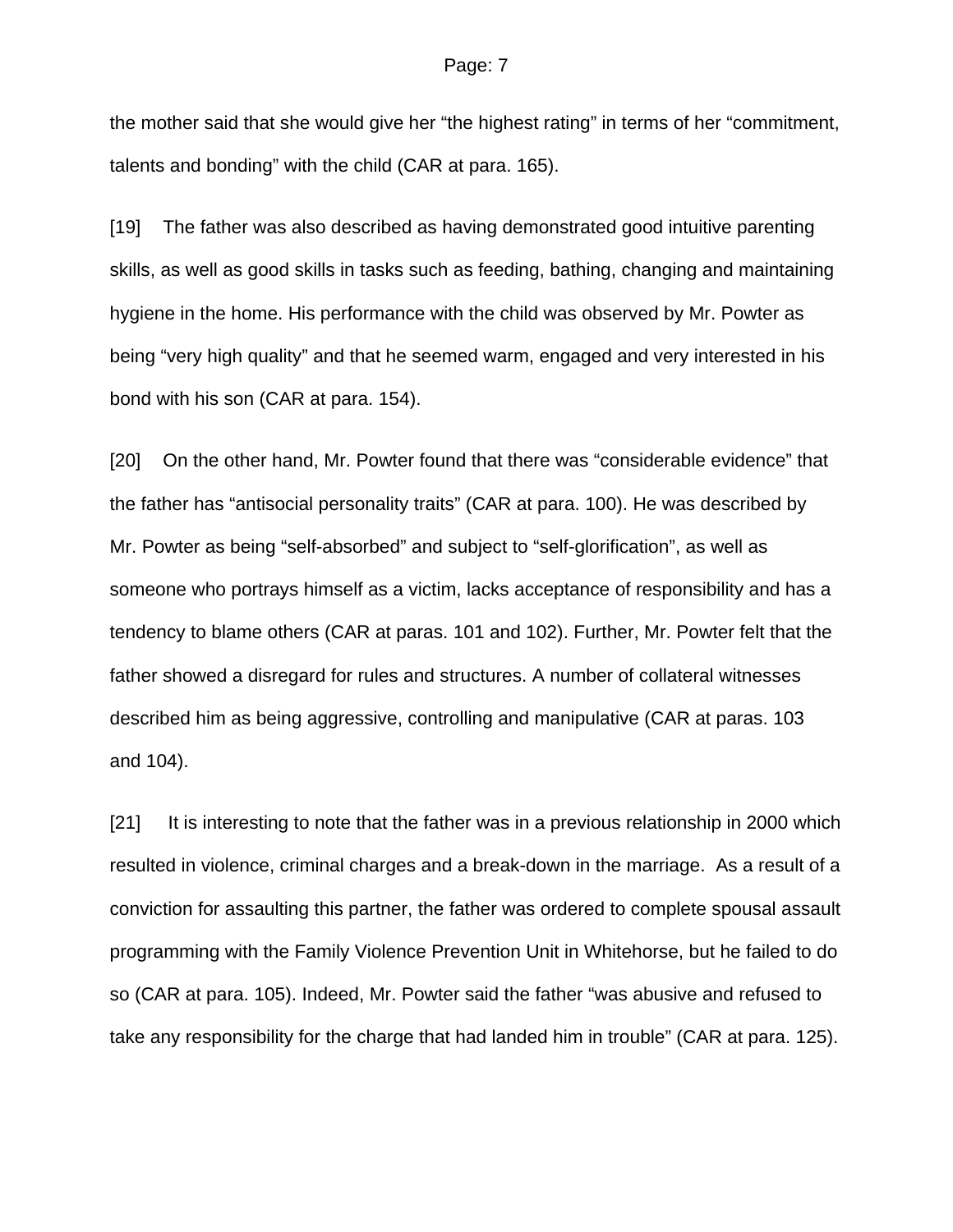the mother said that she would give her "the highest rating" in terms of her "commitment, talents and bonding" with the child (CAR at para. 165).

[19] The father was also described as having demonstrated good intuitive parenting skills, as well as good skills in tasks such as feeding, bathing, changing and maintaining hygiene in the home. His performance with the child was observed by Mr. Powter as being "very high quality" and that he seemed warm, engaged and very interested in his bond with his son (CAR at para. 154).

[20] On the other hand, Mr. Powter found that there was "considerable evidence" that the father has "antisocial personality traits" (CAR at para. 100). He was described by Mr. Powter as being "self-absorbed" and subject to "self-glorification", as well as someone who portrays himself as a victim, lacks acceptance of responsibility and has a tendency to blame others (CAR at paras. 101 and 102). Further, Mr. Powter felt that the father showed a disregard for rules and structures. A number of collateral witnesses described him as being aggressive, controlling and manipulative (CAR at paras. 103 and 104).

[21] It is interesting to note that the father was in a previous relationship in 2000 which resulted in violence, criminal charges and a break-down in the marriage. As a result of a conviction for assaulting this partner, the father was ordered to complete spousal assault programming with the Family Violence Prevention Unit in Whitehorse, but he failed to do so (CAR at para. 105). Indeed, Mr. Powter said the father "was abusive and refused to take any responsibility for the charge that had landed him in trouble" (CAR at para. 125).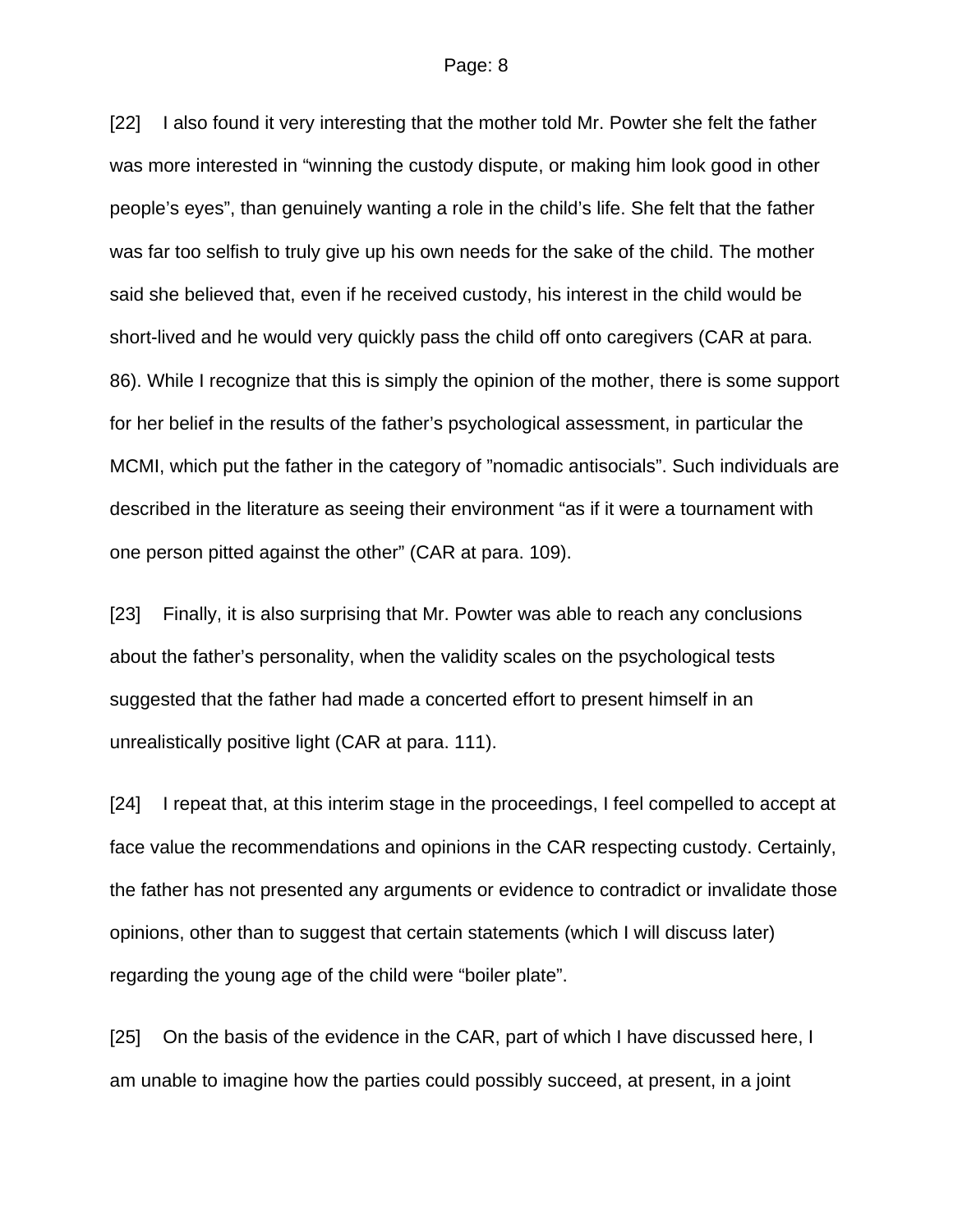[22] I also found it very interesting that the mother told Mr. Powter she felt the father was more interested in "winning the custody dispute, or making him look good in other people's eyes", than genuinely wanting a role in the child's life. She felt that the father was far too selfish to truly give up his own needs for the sake of the child. The mother said she believed that, even if he received custody, his interest in the child would be short-lived and he would very quickly pass the child off onto caregivers (CAR at para. 86). While I recognize that this is simply the opinion of the mother, there is some support for her belief in the results of the father's psychological assessment, in particular the MCMI, which put the father in the category of "nomadic antisocials". Such individuals are described in the literature as seeing their environment "as if it were a tournament with one person pitted against the other" (CAR at para. 109).

[23] Finally, it is also surprising that Mr. Powter was able to reach any conclusions about the father's personality, when the validity scales on the psychological tests suggested that the father had made a concerted effort to present himself in an unrealistically positive light (CAR at para. 111).

[24] I repeat that, at this interim stage in the proceedings, I feel compelled to accept at face value the recommendations and opinions in the CAR respecting custody. Certainly, the father has not presented any arguments or evidence to contradict or invalidate those opinions, other than to suggest that certain statements (which I will discuss later) regarding the young age of the child were "boiler plate".

[25] On the basis of the evidence in the CAR, part of which I have discussed here, I am unable to imagine how the parties could possibly succeed, at present, in a joint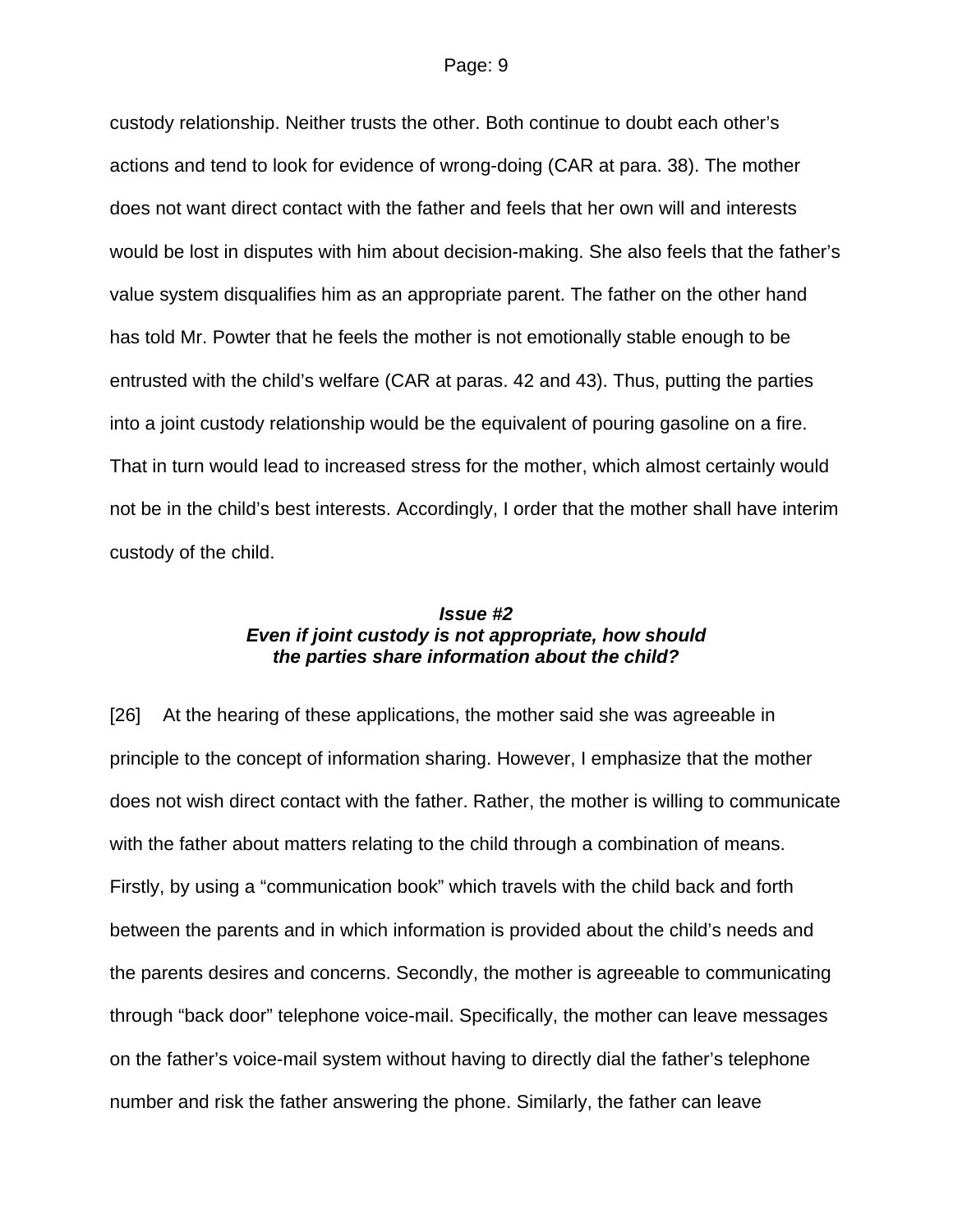custody relationship. Neither trusts the other. Both continue to doubt each other's actions and tend to look for evidence of wrong-doing (CAR at para. 38). The mother does not want direct contact with the father and feels that her own will and interests would be lost in disputes with him about decision-making. She also feels that the father's value system disqualifies him as an appropriate parent. The father on the other hand has told Mr. Powter that he feels the mother is not emotionally stable enough to be entrusted with the child's welfare (CAR at paras. 42 and 43). Thus, putting the parties into a joint custody relationship would be the equivalent of pouring gasoline on a fire. That in turn would lead to increased stress for the mother, which almost certainly would not be in the child's best interests. Accordingly, I order that the mother shall have interim custody of the child.

## *Issue #2 Even if joint custody is not appropriate, how should the parties share information about the child?*

[26] At the hearing of these applications, the mother said she was agreeable in principle to the concept of information sharing. However, I emphasize that the mother does not wish direct contact with the father. Rather, the mother is willing to communicate with the father about matters relating to the child through a combination of means. Firstly, by using a "communication book" which travels with the child back and forth between the parents and in which information is provided about the child's needs and the parents desires and concerns. Secondly, the mother is agreeable to communicating through "back door" telephone voice-mail. Specifically, the mother can leave messages on the father's voice-mail system without having to directly dial the father's telephone number and risk the father answering the phone. Similarly, the father can leave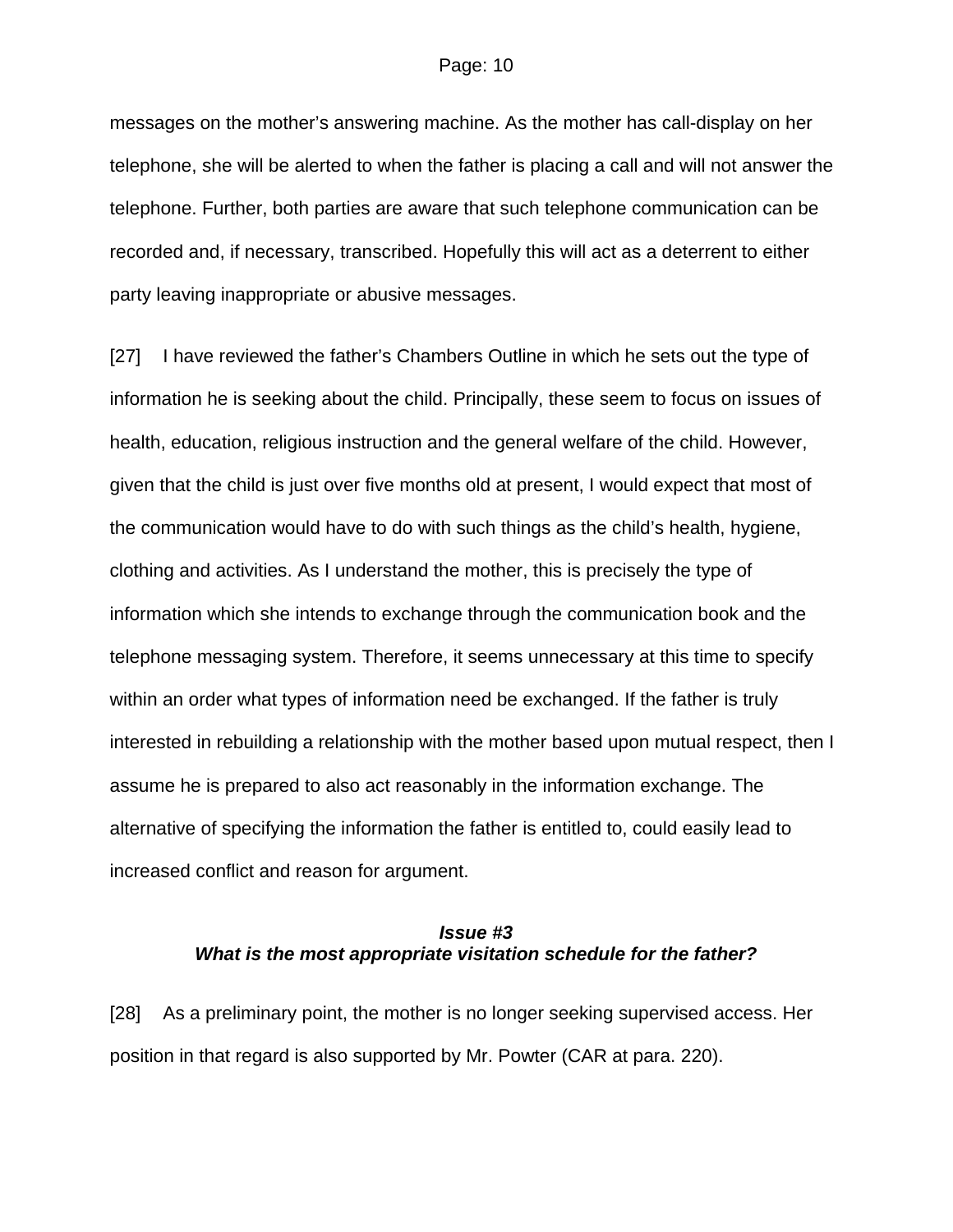messages on the mother's answering machine. As the mother has call-display on her telephone, she will be alerted to when the father is placing a call and will not answer the telephone. Further, both parties are aware that such telephone communication can be recorded and, if necessary, transcribed. Hopefully this will act as a deterrent to either party leaving inappropriate or abusive messages.

[27] I have reviewed the father's Chambers Outline in which he sets out the type of information he is seeking about the child. Principally, these seem to focus on issues of health, education, religious instruction and the general welfare of the child. However, given that the child is just over five months old at present, I would expect that most of the communication would have to do with such things as the child's health, hygiene, clothing and activities. As I understand the mother, this is precisely the type of information which she intends to exchange through the communication book and the telephone messaging system. Therefore, it seems unnecessary at this time to specify within an order what types of information need be exchanged. If the father is truly interested in rebuilding a relationship with the mother based upon mutual respect, then I assume he is prepared to also act reasonably in the information exchange. The alternative of specifying the information the father is entitled to, could easily lead to increased conflict and reason for argument.

## *Issue #3 What is the most appropriate visitation schedule for the father?*

[28] As a preliminary point, the mother is no longer seeking supervised access. Her position in that regard is also supported by Mr. Powter (CAR at para. 220).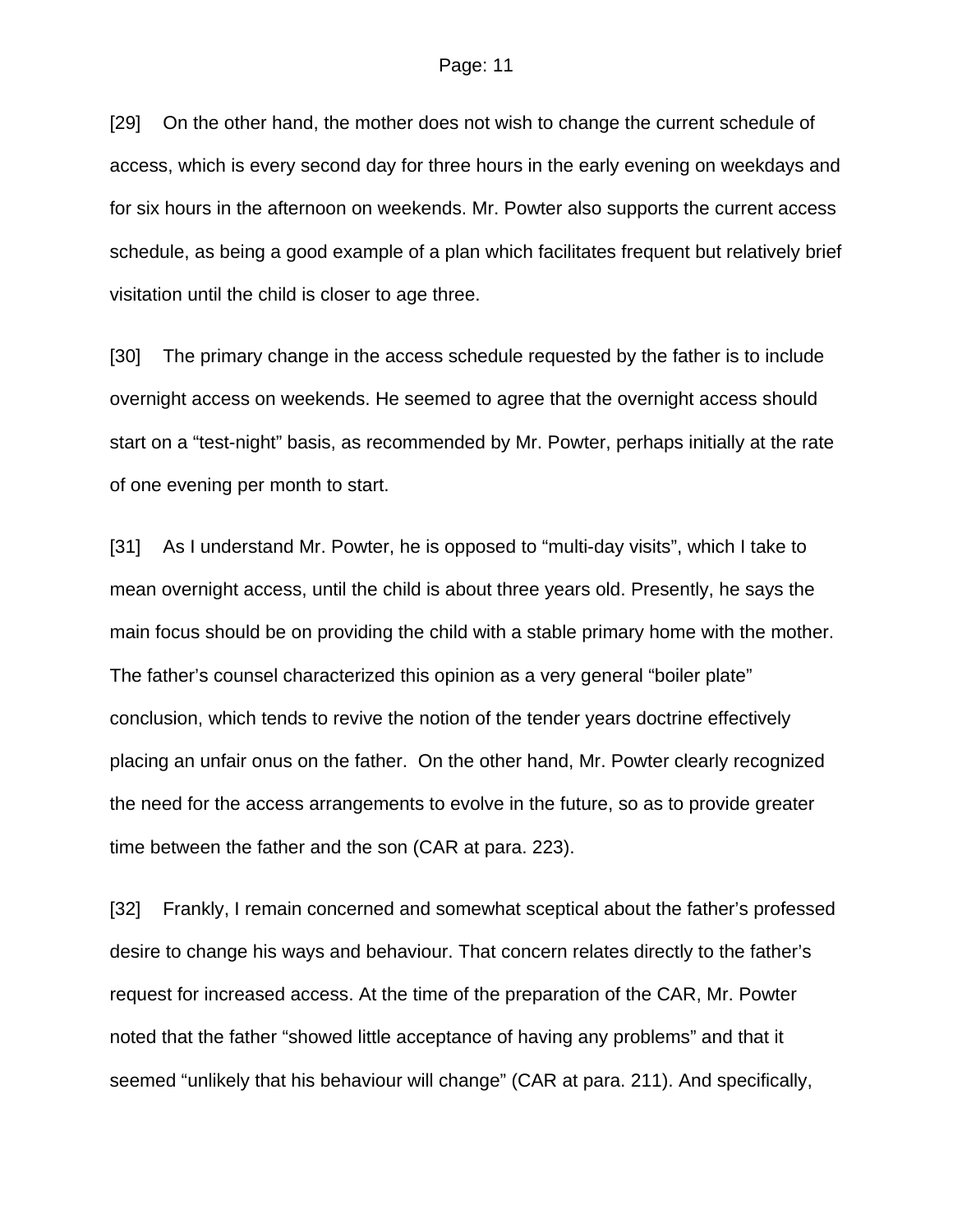[29] On the other hand, the mother does not wish to change the current schedule of access, which is every second day for three hours in the early evening on weekdays and for six hours in the afternoon on weekends. Mr. Powter also supports the current access schedule, as being a good example of a plan which facilitates frequent but relatively brief visitation until the child is closer to age three.

[30] The primary change in the access schedule requested by the father is to include overnight access on weekends. He seemed to agree that the overnight access should start on a "test-night" basis, as recommended by Mr. Powter, perhaps initially at the rate of one evening per month to start.

[31] As I understand Mr. Powter, he is opposed to "multi-day visits", which I take to mean overnight access, until the child is about three years old. Presently, he says the main focus should be on providing the child with a stable primary home with the mother. The father's counsel characterized this opinion as a very general "boiler plate" conclusion, which tends to revive the notion of the tender years doctrine effectively placing an unfair onus on the father. On the other hand, Mr. Powter clearly recognized the need for the access arrangements to evolve in the future, so as to provide greater time between the father and the son (CAR at para. 223).

[32] Frankly, I remain concerned and somewhat sceptical about the father's professed desire to change his ways and behaviour. That concern relates directly to the father's request for increased access. At the time of the preparation of the CAR, Mr. Powter noted that the father "showed little acceptance of having any problems" and that it seemed "unlikely that his behaviour will change" (CAR at para. 211). And specifically,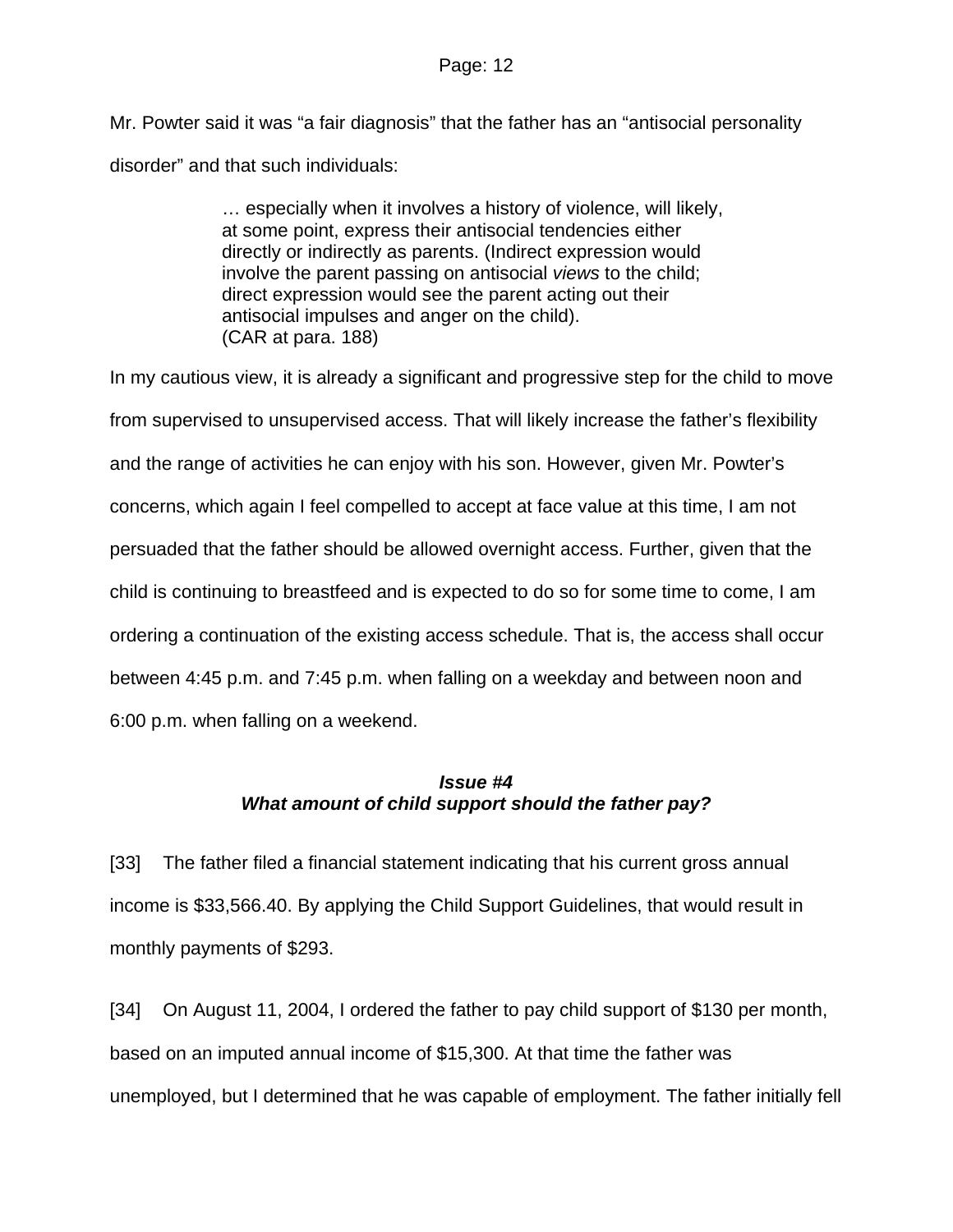Mr. Powter said it was "a fair diagnosis" that the father has an "antisocial personality disorder" and that such individuals:

> … especially when it involves a history of violence, will likely, at some point, express their antisocial tendencies either directly or indirectly as parents. (Indirect expression would involve the parent passing on antisocial *views* to the child; direct expression would see the parent acting out their antisocial impulses and anger on the child). (CAR at para. 188)

In my cautious view, it is already a significant and progressive step for the child to move from supervised to unsupervised access. That will likely increase the father's flexibility and the range of activities he can enjoy with his son. However, given Mr. Powter's concerns, which again I feel compelled to accept at face value at this time, I am not persuaded that the father should be allowed overnight access. Further, given that the child is continuing to breastfeed and is expected to do so for some time to come, I am ordering a continuation of the existing access schedule. That is, the access shall occur between 4:45 p.m. and 7:45 p.m. when falling on a weekday and between noon and 6:00 p.m. when falling on a weekend.

# *Issue #4 What amount of child support should the father pay?*

[33] The father filed a financial statement indicating that his current gross annual income is \$33,566.40. By applying the Child Support Guidelines, that would result in monthly payments of \$293.

[34] On August 11, 2004, I ordered the father to pay child support of \$130 per month, based on an imputed annual income of \$15,300. At that time the father was unemployed, but I determined that he was capable of employment. The father initially fell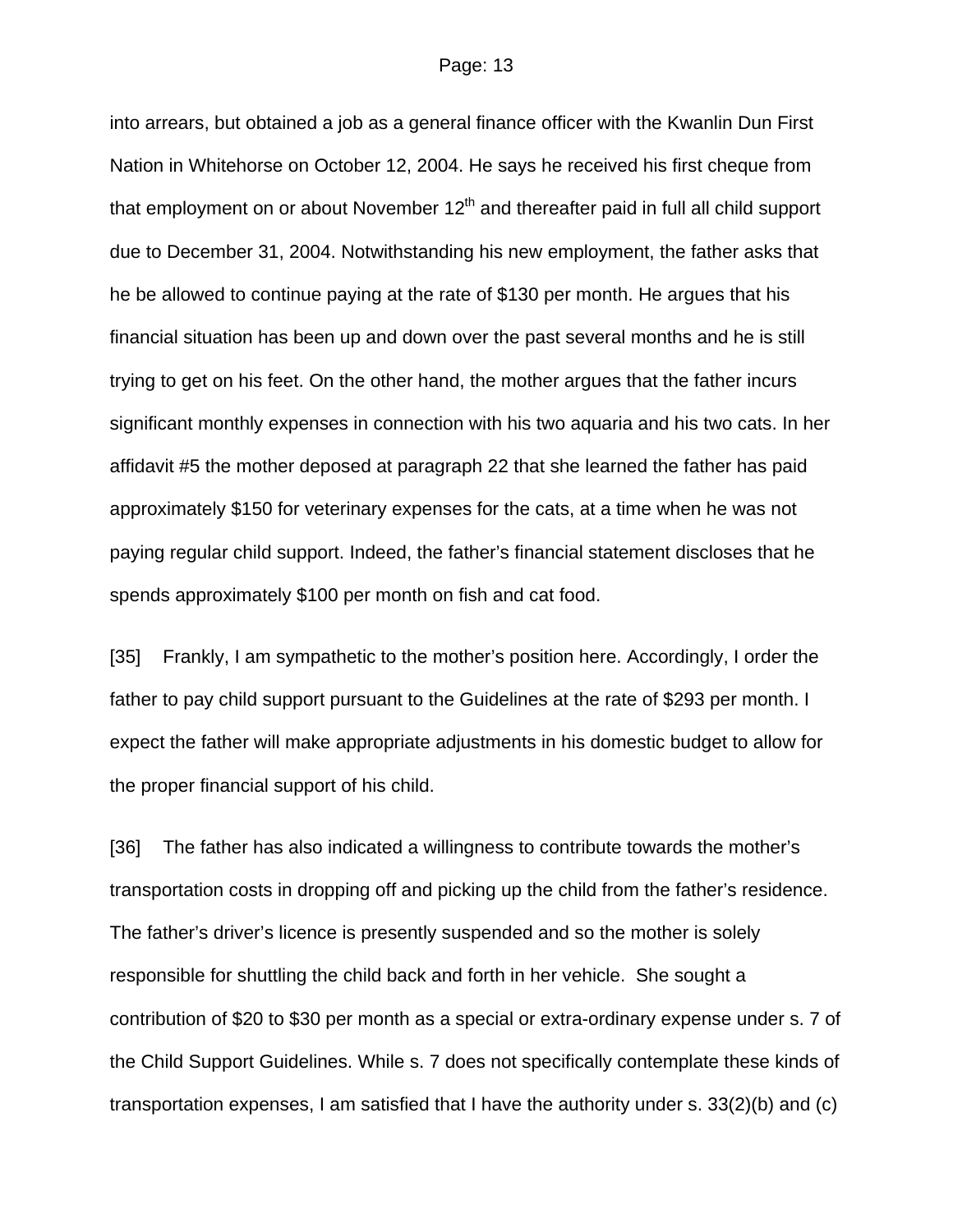into arrears, but obtained a job as a general finance officer with the Kwanlin Dun First Nation in Whitehorse on October 12, 2004. He says he received his first cheque from that employment on or about November  $12<sup>th</sup>$  and thereafter paid in full all child support due to December 31, 2004. Notwithstanding his new employment, the father asks that he be allowed to continue paying at the rate of \$130 per month. He argues that his financial situation has been up and down over the past several months and he is still trying to get on his feet. On the other hand, the mother argues that the father incurs significant monthly expenses in connection with his two aquaria and his two cats. In her affidavit #5 the mother deposed at paragraph 22 that she learned the father has paid approximately \$150 for veterinary expenses for the cats, at a time when he was not paying regular child support. Indeed, the father's financial statement discloses that he spends approximately \$100 per month on fish and cat food.

[35] Frankly, I am sympathetic to the mother's position here. Accordingly, I order the father to pay child support pursuant to the Guidelines at the rate of \$293 per month. I expect the father will make appropriate adjustments in his domestic budget to allow for the proper financial support of his child.

[36] The father has also indicated a willingness to contribute towards the mother's transportation costs in dropping off and picking up the child from the father's residence. The father's driver's licence is presently suspended and so the mother is solely responsible for shuttling the child back and forth in her vehicle. She sought a contribution of \$20 to \$30 per month as a special or extra-ordinary expense under s. 7 of the Child Support Guidelines. While s. 7 does not specifically contemplate these kinds of transportation expenses, I am satisfied that I have the authority under s. 33(2)(b) and (c)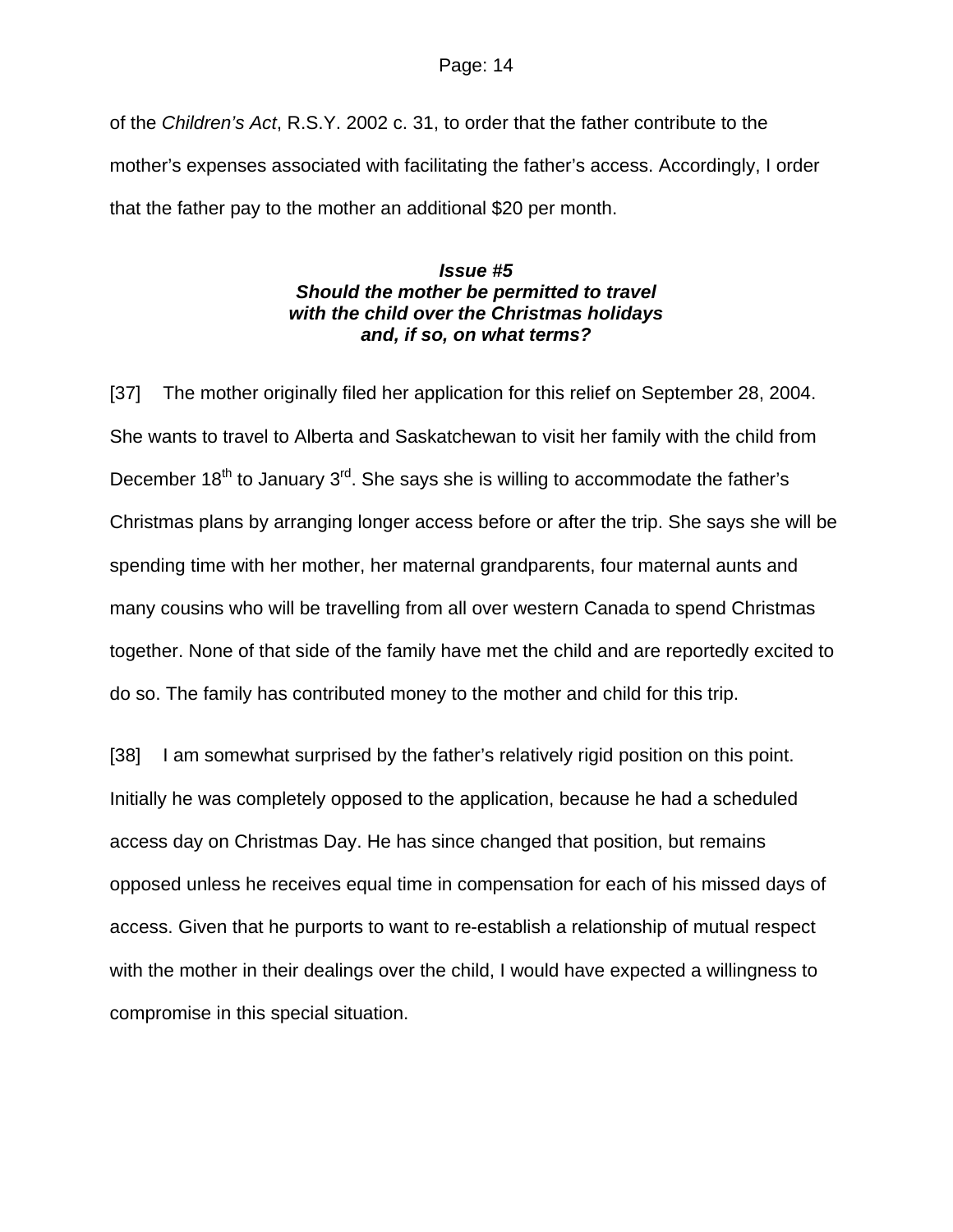of the *Children's Act*, R.S.Y. 2002 c. 31, to order that the father contribute to the mother's expenses associated with facilitating the father's access. Accordingly, I order that the father pay to the mother an additional \$20 per month.

## *Issue #5 Should the mother be permitted to travel with the child over the Christmas holidays and, if so, on what terms?*

[37] The mother originally filed her application for this relief on September 28, 2004. She wants to travel to Alberta and Saskatchewan to visit her family with the child from December  $18<sup>th</sup>$  to January  $3<sup>rd</sup>$ . She says she is willing to accommodate the father's Christmas plans by arranging longer access before or after the trip. She says she will be spending time with her mother, her maternal grandparents, four maternal aunts and many cousins who will be travelling from all over western Canada to spend Christmas together. None of that side of the family have met the child and are reportedly excited to do so. The family has contributed money to the mother and child for this trip.

[38] I am somewhat surprised by the father's relatively rigid position on this point. Initially he was completely opposed to the application, because he had a scheduled access day on Christmas Day. He has since changed that position, but remains opposed unless he receives equal time in compensation for each of his missed days of access. Given that he purports to want to re-establish a relationship of mutual respect with the mother in their dealings over the child, I would have expected a willingness to compromise in this special situation.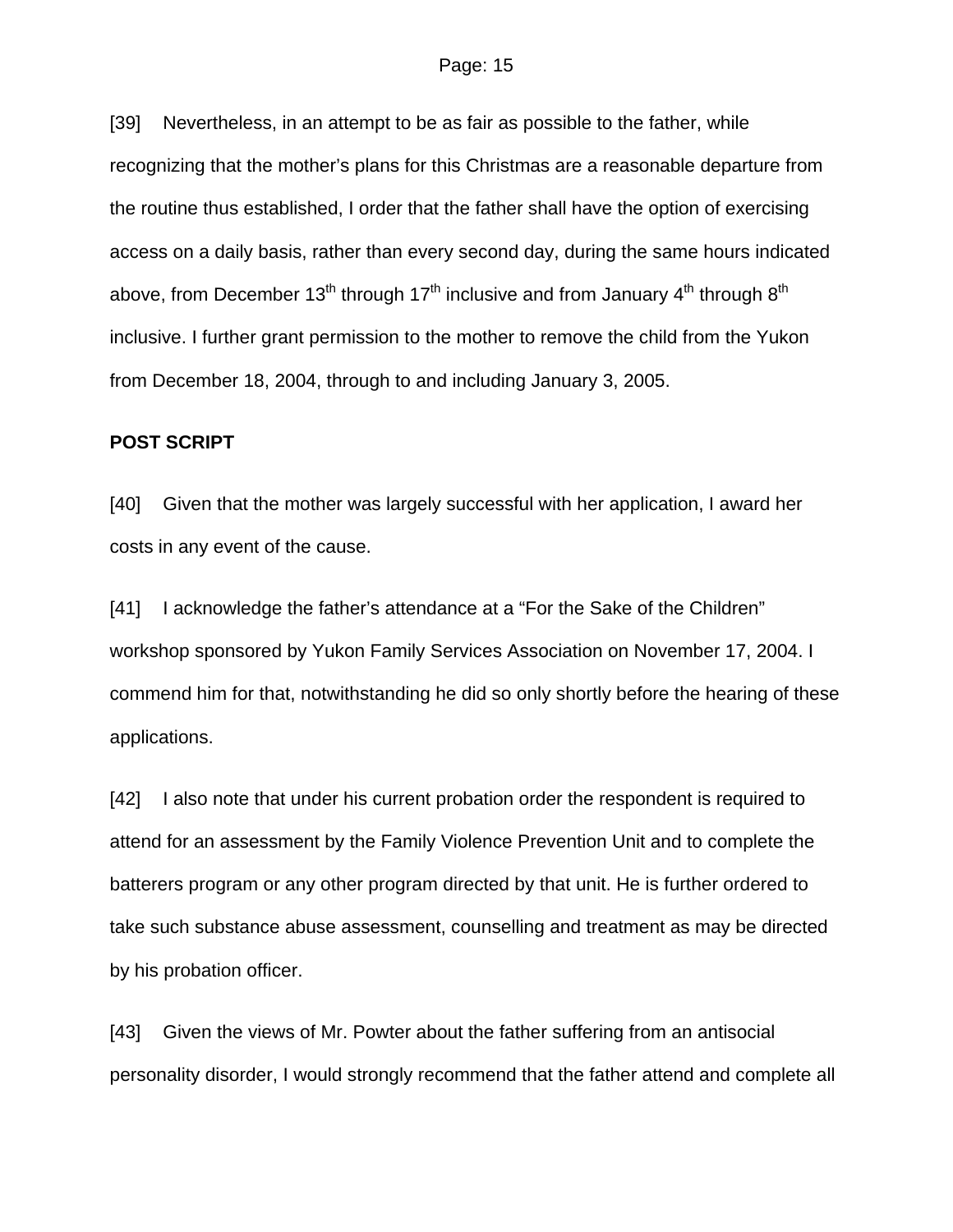[39] Nevertheless, in an attempt to be as fair as possible to the father, while recognizing that the mother's plans for this Christmas are a reasonable departure from the routine thus established, I order that the father shall have the option of exercising access on a daily basis, rather than every second day, during the same hours indicated above, from December 13<sup>th</sup> through 17<sup>th</sup> inclusive and from January 4<sup>th</sup> through 8<sup>th</sup> inclusive. I further grant permission to the mother to remove the child from the Yukon from December 18, 2004, through to and including January 3, 2005.

### **POST SCRIPT**

[40] Given that the mother was largely successful with her application, I award her costs in any event of the cause.

[41] I acknowledge the father's attendance at a "For the Sake of the Children" workshop sponsored by Yukon Family Services Association on November 17, 2004. I commend him for that, notwithstanding he did so only shortly before the hearing of these applications.

[42] I also note that under his current probation order the respondent is required to attend for an assessment by the Family Violence Prevention Unit and to complete the batterers program or any other program directed by that unit. He is further ordered to take such substance abuse assessment, counselling and treatment as may be directed by his probation officer.

[43] Given the views of Mr. Powter about the father suffering from an antisocial personality disorder, I would strongly recommend that the father attend and complete all